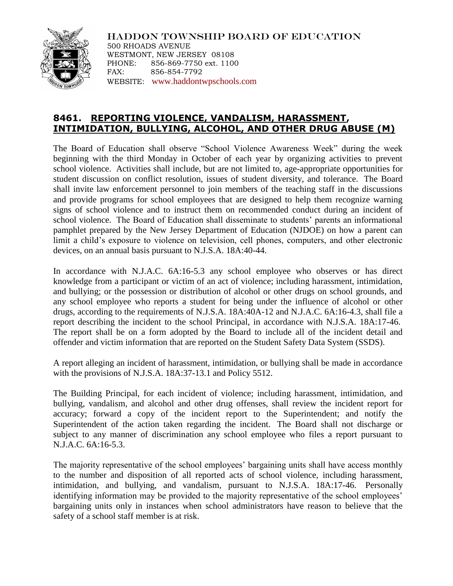

HADDON TOWNSHIP BOARD OF EDUCATION 500 RHOADS AVENUE WESTMONT, NEW JERSEY 08108 PHONE: 856-869-7750 ext. 1100 FAX: 856-854-7792 WEBSITE: [www.haddontwpschools.com](http://www.haddontwpschools.com/)

## **8461. REPORTING VIOLENCE, VANDALISM, HARASSMENT, INTIMIDATION, BULLYING, ALCOHOL, AND OTHER DRUG ABUSE (M)**

The Board of Education shall observe "School Violence Awareness Week" during the week beginning with the third Monday in October of each year by organizing activities to prevent school violence. Activities shall include, but are not limited to, age-appropriate opportunities for student discussion on conflict resolution, issues of student diversity, and tolerance. The Board shall invite law enforcement personnel to join members of the teaching staff in the discussions and provide programs for school employees that are designed to help them recognize warning signs of school violence and to instruct them on recommended conduct during an incident of school violence. The Board of Education shall disseminate to students' parents an informational pamphlet prepared by the New Jersey Department of Education (NJDOE) on how a parent can limit a child's exposure to violence on television, cell phones, computers, and other electronic devices, on an annual basis pursuant to N.J.S.A. 18A:40-44.

In accordance with N.J.A.C. 6A:16-5.3 any school employee who observes or has direct knowledge from a participant or victim of an act of violence; including harassment, intimidation, and bullying; or the possession or distribution of alcohol or other drugs on school grounds, and any school employee who reports a student for being under the influence of alcohol or other drugs, according to the requirements of N.J.S.A. 18A:40A-12 and N.J.A.C. 6A:16-4.3, shall file a report describing the incident to the school Principal, in accordance with N.J.S.A. 18A:17-46. The report shall be on a form adopted by the Board to include all of the incident detail and offender and victim information that are reported on the Student Safety Data System (SSDS).

A report alleging an incident of harassment, intimidation, or bullying shall be made in accordance with the provisions of N.J.S.A. 18A:37-13.1 and Policy 5512.

The Building Principal, for each incident of violence; including harassment, intimidation, and bullying, vandalism, and alcohol and other drug offenses, shall review the incident report for accuracy; forward a copy of the incident report to the Superintendent; and notify the Superintendent of the action taken regarding the incident. The Board shall not discharge or subject to any manner of discrimination any school employee who files a report pursuant to N.J.A.C. 6A:16-5.3.

The majority representative of the school employees' bargaining units shall have access monthly to the number and disposition of all reported acts of school violence, including harassment, intimidation, and bullying, and vandalism, pursuant to N.J.S.A. 18A:17-46. Personally identifying information may be provided to the majority representative of the school employees' bargaining units only in instances when school administrators have reason to believe that the safety of a school staff member is at risk.